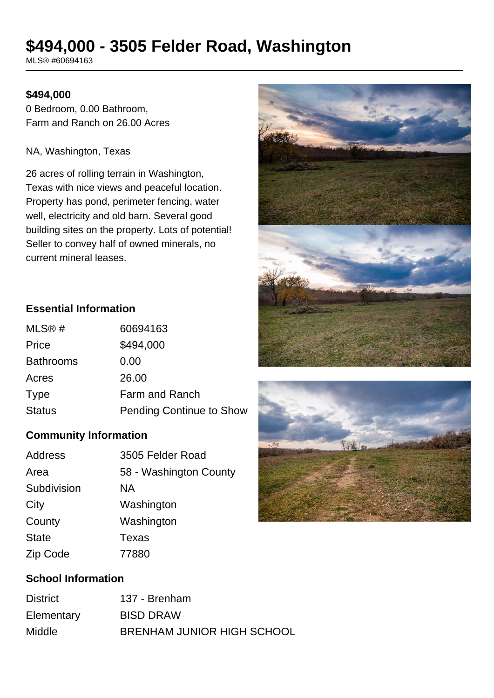# **\$494,000 - 3505 Felder Road, Washington**

MLS® #60694163

#### **\$494,000**

0 Bedroom, 0.00 Bathroom, Farm and Ranch on 26.00 Acres

#### NA, Washington, Texas

26 acres of rolling terrain in Washington, Texas with nice views and peaceful location. Property has pond, perimeter fencing, water well, electricity and old barn. Several good building sites on the property. Lots of potential! Seller to convey half of owned minerals, no current mineral leases.



| 60694163                        |
|---------------------------------|
| \$494,000                       |
| 0.00                            |
| 26.00                           |
| <b>Farm and Ranch</b>           |
| <b>Pending Continue to Show</b> |
|                                 |

#### **Community Information**

| Address      | 3505 Felder Road       |
|--------------|------------------------|
| Area         | 58 - Washington County |
| Subdivision  | ΝA                     |
| City         | Washington             |
| County       | Washington             |
| <b>State</b> | <b>Texas</b>           |
| Zip Code     | 77880                  |

## **School Information**

| <b>District</b> | 137 - Brenham              |
|-----------------|----------------------------|
| Elementary      | <b>BISD DRAW</b>           |
| <b>Middle</b>   | BRENHAM JUNIOR HIGH SCHOOL |